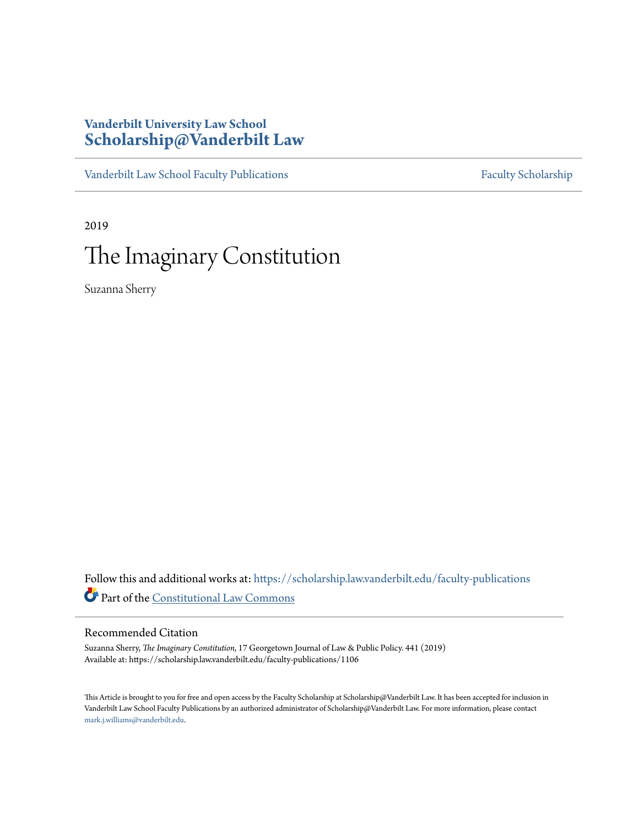## **Vanderbilt University Law School [Scholarship@Vanderbilt Law](https://scholarship.law.vanderbilt.edu/?utm_source=scholarship.law.vanderbilt.edu%2Ffaculty-publications%2F1106&utm_medium=PDF&utm_campaign=PDFCoverPages)**

[Vanderbilt Law School Faculty Publications](https://scholarship.law.vanderbilt.edu/faculty-publications?utm_source=scholarship.law.vanderbilt.edu%2Ffaculty-publications%2F1106&utm_medium=PDF&utm_campaign=PDFCoverPages) [Faculty Scholarship](https://scholarship.law.vanderbilt.edu/faculty-scholarship?utm_source=scholarship.law.vanderbilt.edu%2Ffaculty-publications%2F1106&utm_medium=PDF&utm_campaign=PDFCoverPages)

2019

# The Imaginary Constitution

Suzanna Sherry

Follow this and additional works at: [https://scholarship.law.vanderbilt.edu/faculty-publications](https://scholarship.law.vanderbilt.edu/faculty-publications?utm_source=scholarship.law.vanderbilt.edu%2Ffaculty-publications%2F1106&utm_medium=PDF&utm_campaign=PDFCoverPages) Part of the [Constitutional Law Commons](http://network.bepress.com/hgg/discipline/589?utm_source=scholarship.law.vanderbilt.edu%2Ffaculty-publications%2F1106&utm_medium=PDF&utm_campaign=PDFCoverPages)

### Recommended Citation

Suzanna Sherry, *The Imaginary Constitution*, 17 Georgetown Journal of Law & Public Policy. 441 (2019) Available at: https://scholarship.law.vanderbilt.edu/faculty-publications/1106

This Article is brought to you for free and open access by the Faculty Scholarship at Scholarship@Vanderbilt Law. It has been accepted for inclusion in Vanderbilt Law School Faculty Publications by an authorized administrator of Scholarship@Vanderbilt Law. For more information, please contact [mark.j.williams@vanderbilt.edu](mailto:mark.j.williams@vanderbilt.edu).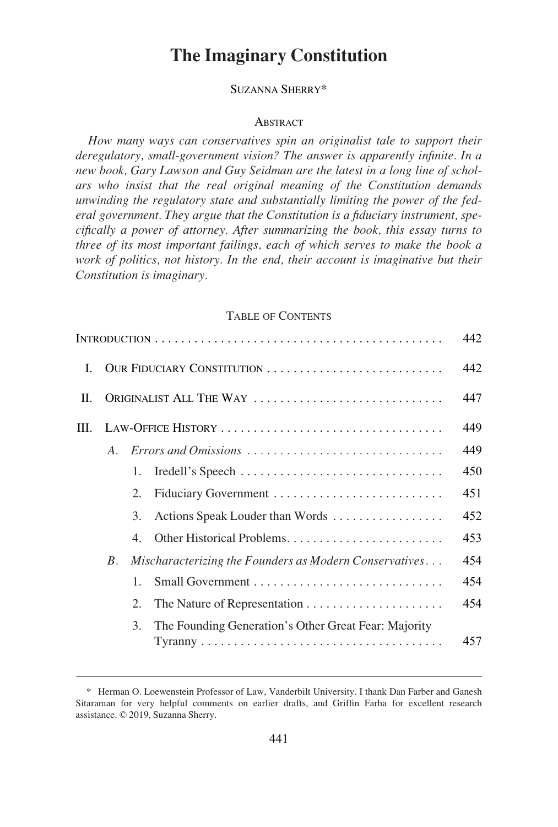# **The Imaginary Constitution**

#### SUZANNA SHERRY\*

#### **ABSTRACT**

*How many ways can conservatives spin an originalist tale to support their deregulatory, small-government vision? The answer is apparently infinite. In a new book, Gary Lawson and Guy Seidman are the latest in a long line of scholars who insist that the real original meaning of the Constitution demands unwinding the regulatory state and substantially limiting the power of the federal government. They argue that the Constitution is a fiduciary instrument, specifically a power of attorney. After summarizing the book, this essay turns to three of its most important failings, each of which serves to make the book a work of politics, not history. In the end, their account is imaginative but their Constitution is imaginary.* 

#### TABLE OF CONTENTS

|    |                            |    |                                                        | 442 |
|----|----------------------------|----|--------------------------------------------------------|-----|
| L  | OUR FIDUCIARY CONSTITUTION |    |                                                        | 442 |
| H. | ORIGINALIST ALL THE WAY    |    |                                                        | 447 |
| Ш. |                            |    | LAW-OFFICE HISTORY                                     | 449 |
|    | $\overline{A}$             |    |                                                        | 449 |
|    |                            | 1. |                                                        | 450 |
|    |                            | 2. |                                                        | 451 |
|    |                            | 3. | Actions Speak Louder than Words                        | 452 |
|    |                            | 4. |                                                        | 453 |
|    | $B_{-}$                    |    | Mischaracterizing the Founders as Modern Conservatives | 454 |
|    |                            | 1. |                                                        | 454 |
|    |                            | 2. |                                                        | 454 |
|    |                            | 3. | The Founding Generation's Other Great Fear: Majority   | 457 |

<sup>\*</sup> Herman O. Loewenstein Professor of Law, Vanderbilt University. I thank Dan Farber and Ganesh Sitaraman for very helpful comments on earlier drafts, and Griffin Farha for excellent research assistance. © 2019, Suzanna Sherry.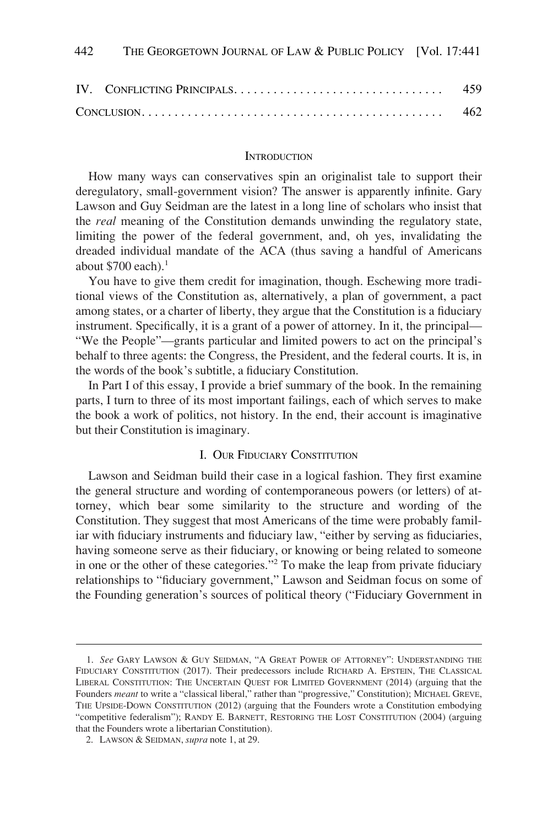<span id="page-2-0"></span>

|  | 462 |
|--|-----|

#### **INTRODUCTION**

How many ways can conservatives spin an originalist tale to support their deregulatory, small-government vision? The answer is apparently infinite. Gary Lawson and Guy Seidman are the latest in a long line of scholars who insist that the *real* meaning of the Constitution demands unwinding the regulatory state, limiting the power of the federal government, and, oh yes, invalidating the dreaded individual mandate of the ACA (thus saving a handful of Americans about \$700 each). $<sup>1</sup>$ </sup>

You have to give them credit for imagination, though. Eschewing more traditional views of the Constitution as, alternatively, a plan of government, a pact among states, or a charter of liberty, they argue that the Constitution is a fiduciary instrument. Specifically, it is a grant of a power of attorney. In it, the principal— "We the People"—grants particular and limited powers to act on the principal's behalf to three agents: the Congress, the President, and the federal courts. It is, in the words of the book's subtitle, a fiduciary Constitution.

In Part I of this essay, I provide a brief summary of the book. In the remaining parts, I turn to three of its most important failings, each of which serves to make the book a work of politics, not history. In the end, their account is imaginative but their Constitution is imaginary.

#### I. OUR FIDUCIARY CONSTITUTION

Lawson and Seidman build their case in a logical fashion. They first examine the general structure and wording of contemporaneous powers (or letters) of attorney, which bear some similarity to the structure and wording of the Constitution. They suggest that most Americans of the time were probably familiar with fiduciary instruments and fiduciary law, "either by serving as fiduciaries, having someone serve as their fiduciary, or knowing or being related to someone in one or the other of these categories."2 To make the leap from private fiduciary relationships to "fiduciary government," Lawson and Seidman focus on some of the Founding generation's sources of political theory ("Fiduciary Government in

<sup>1.</sup> *See* GARY LAWSON & GUY SEIDMAN, "A GREAT POWER OF ATTORNEY": UNDERSTANDING THE FIDUCIARY CONSTITUTION (2017). Their predecessors include RICHARD A. EPSTEIN, THE CLASSICAL LIBERAL CONSTITUTION: THE UNCERTAIN QUEST FOR LIMITED GOVERNMENT (2014) (arguing that the Founders *meant* to write a "classical liberal," rather than "progressive," Constitution); MICHAEL GREVE, THE UPSIDE-DOWN CONSTITUTION (2012) (arguing that the Founders wrote a Constitution embodying "competitive federalism"); RANDY E. BARNETT, RESTORING THE LOST CONSTITUTION (2004) (arguing that the Founders wrote a libertarian Constitution).

<sup>2.</sup> LAWSON & SEIDMAN, *supra* note 1, at 29.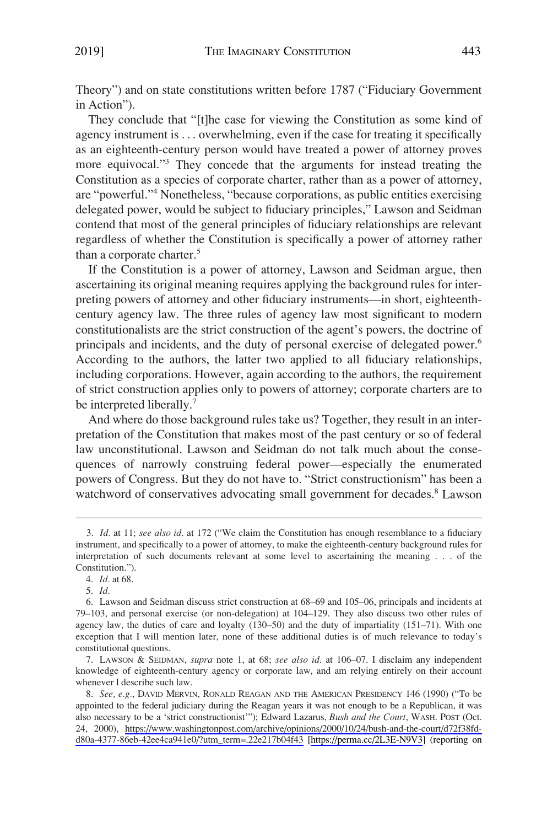Theory") and on state constitutions written before 1787 ("Fiduciary Government in Action").

They conclude that "[t]he case for viewing the Constitution as some kind of agency instrument is . . . overwhelming, even if the case for treating it specifically as an eighteenth-century person would have treated a power of attorney proves more equivocal."3 They concede that the arguments for instead treating the Constitution as a species of corporate charter, rather than as a power of attorney, are "powerful."4 Nonetheless, "because corporations, as public entities exercising delegated power, would be subject to fiduciary principles," Lawson and Seidman contend that most of the general principles of fiduciary relationships are relevant regardless of whether the Constitution is specifically a power of attorney rather than a corporate charter.<sup>5</sup>

If the Constitution is a power of attorney, Lawson and Seidman argue, then ascertaining its original meaning requires applying the background rules for interpreting powers of attorney and other fiduciary instruments—in short, eighteenthcentury agency law. The three rules of agency law most significant to modern constitutionalists are the strict construction of the agent's powers, the doctrine of principals and incidents, and the duty of personal exercise of delegated power.6 According to the authors, the latter two applied to all fiduciary relationships, including corporations. However, again according to the authors, the requirement of strict construction applies only to powers of attorney; corporate charters are to be interpreted liberally.<sup>7</sup>

And where do those background rules take us? Together, they result in an interpretation of the Constitution that makes most of the past century or so of federal law unconstitutional. Lawson and Seidman do not talk much about the consequences of narrowly construing federal power—especially the enumerated powers of Congress. But they do not have to. "Strict constructionism" has been a watchword of conservatives advocating small government for decades.<sup>8</sup> Lawson

7. LAWSON & SEIDMAN, *supra* note 1, at 68; *see also id*. at 106–07. I disclaim any independent knowledge of eighteenth-century agency or corporate law, and am relying entirely on their account whenever I describe such law.

<sup>3.</sup> *Id.* at 11; *see also id*. at 172 ("We claim the Constitution has enough resemblance to a fiduciary instrument, and specifically to a power of attorney, to make the eighteenth-century background rules for interpretation of such documents relevant at some level to ascertaining the meaning . . . of the Constitution.").

<sup>4.</sup> *Id.* at 68.

<sup>5.</sup> *Id.* 

<sup>6.</sup> Lawson and Seidman discuss strict construction at 68–69 and 105–06, principals and incidents at 79–103, and personal exercise (or non-delegation) at 104–129. They also discuss two other rules of agency law, the duties of care and loyalty (130–50) and the duty of impartiality (151–71). With one exception that I will mention later, none of these additional duties is of much relevance to today's constitutional questions.

<sup>8.</sup> *See, e.g.*, DAVID MERVIN, RONALD REAGAN AND THE AMERICAN PRESIDENCY 146 (1990) ("To be appointed to the federal judiciary during the Reagan years it was not enough to be a Republican, it was also necessary to be a 'strict constructionist'"); Edward Lazarus, *Bush and the Court*, WASH. POST (Oct. 24, 2000), [https://www.washingtonpost.com/archive/opinions/2000/10/24/bush-and-the-court/d72f38fd](https://www.washingtonpost.com/archive/opinions/2000/10/24/bush-and-the-court/d72f38fd-d80a-4377-86eb-42ee4ca941e0/?utm_term=.22e217b04f43)[d80a-4377-86eb-42ee4ca941e0/?utm\\_term=.22e217b04f43](https://www.washingtonpost.com/archive/opinions/2000/10/24/bush-and-the-court/d72f38fd-d80a-4377-86eb-42ee4ca941e0/?utm_term=.22e217b04f43) [<https://perma.cc/2L3E-N9V3>] (reporting on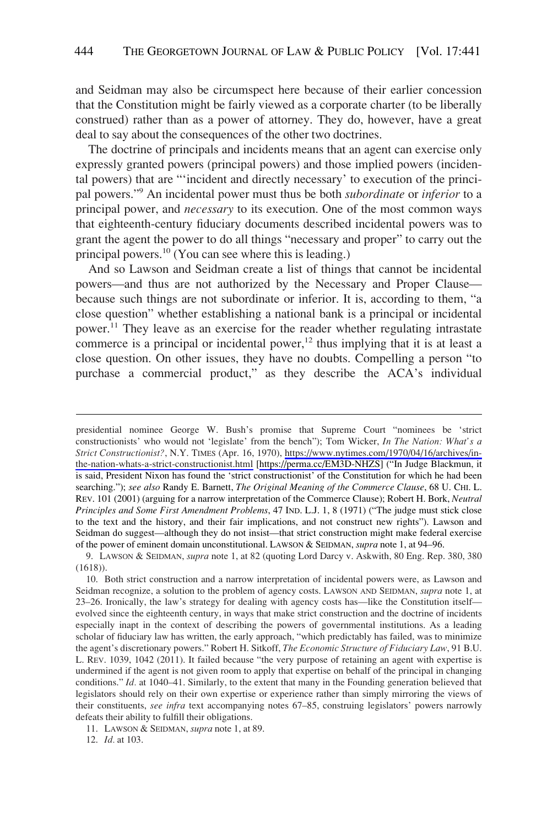and Seidman may also be circumspect here because of their earlier concession that the Constitution might be fairly viewed as a corporate charter (to be liberally construed) rather than as a power of attorney. They do, however, have a great deal to say about the consequences of the other two doctrines.

The doctrine of principals and incidents means that an agent can exercise only expressly granted powers (principal powers) and those implied powers (incidental powers) that are "'incident and directly necessary' to execution of the principal powers."9 An incidental power must thus be both *subordinate* or *inferior* to a principal power, and *necessary* to its execution. One of the most common ways that eighteenth-century fiduciary documents described incidental powers was to grant the agent the power to do all things "necessary and proper" to carry out the principal powers.10 (You can see where this is leading.)

And so Lawson and Seidman create a list of things that cannot be incidental powers—and thus are not authorized by the Necessary and Proper Clause because such things are not subordinate or inferior. It is, according to them, "a close question" whether establishing a national bank is a principal or incidental power.<sup>11</sup> They leave as an exercise for the reader whether regulating intrastate commerce is a principal or incidental power, $12$  thus implying that it is at least a close question. On other issues, they have no doubts. Compelling a person "to purchase a commercial product," as they describe the ACA's individual

12. *Id.* at 103.

Strict Constructionist?, N.Y. TIMES (Apr. 16, 1970), [https://www.nytimes.com/1970/04/16/archives/in](https://www.nytimes.com/1970/04/16/archives/in-the-nation-whats-a-strict-constructionist.html)[the-nation-whats-a-strict-constructionist.html](https://www.nytimes.com/1970/04/16/archives/in-the-nation-whats-a-strict-constructionist.html) [\[https://perma.cc/EM3D-NHZS](https://perma.cc/EM3D-NHZS)] ("In Judge Blackmun, it is said, President Nixon has found the 'strict constructionist' of the Constitution for which he had been searching."); *see also* Randy E. Barnett, *The Original Meaning of the Commerce Clause*, 68 U. CHI. L. REV. 101 (2001) (arguing for a narrow interpretation of the Commerce Clause); Robert H. Bork, *Neutral Principles and Some First Amendment Problems*, 47 IND. L.J. 1, 8 (1971) ("The judge must stick close to the text and the history, and their fair implications, and not construct new rights"). Lawson and Seidman do suggest—although they do not insist—that strict construction might make federal exercise of the power of eminent domain unconstitutional. LAWSON & SEIDMAN, *supra* note 1, at 94–96. presidential nominee George W. Bush's promise that Supreme Court "nominees be 'strict constructionists' who would not 'legislate' from the bench"); Tom Wicker, *In The Nation: What's a* 

<sup>9.</sup> LAWSON & SEIDMAN, *supra* note 1, at 82 (quoting Lord Darcy v. Askwith, 80 Eng. Rep. 380, 380 (1618)).

<sup>10.</sup> Both strict construction and a narrow interpretation of incidental powers were, as Lawson and Seidman recognize, a solution to the problem of agency costs. LAWSON AND SEIDMAN, *supra* note 1, at 23–26. Ironically, the law's strategy for dealing with agency costs has—like the Constitution itself evolved since the eighteenth century, in ways that make strict construction and the doctrine of incidents especially inapt in the context of describing the powers of governmental institutions. As a leading scholar of fiduciary law has written, the early approach, "which predictably has failed, was to minimize the agent's discretionary powers." Robert H. Sitkoff, *The Economic Structure of Fiduciary Law*, 91 B.U. L. REV. 1039, 1042 (2011). It failed because "the very purpose of retaining an agent with expertise is undermined if the agent is not given room to apply that expertise on behalf of the principal in changing conditions." *Id.* at 1040–41. Similarly, to the extent that many in the Founding generation believed that legislators should rely on their own expertise or experience rather than simply mirroring the views of their constituents, *see infra* text accompanying notes 67–85, construing legislators' powers narrowly defeats their ability to fulfill their obligations.

<sup>11.</sup> LAWSON & SEIDMAN, *supra* note 1, at 89.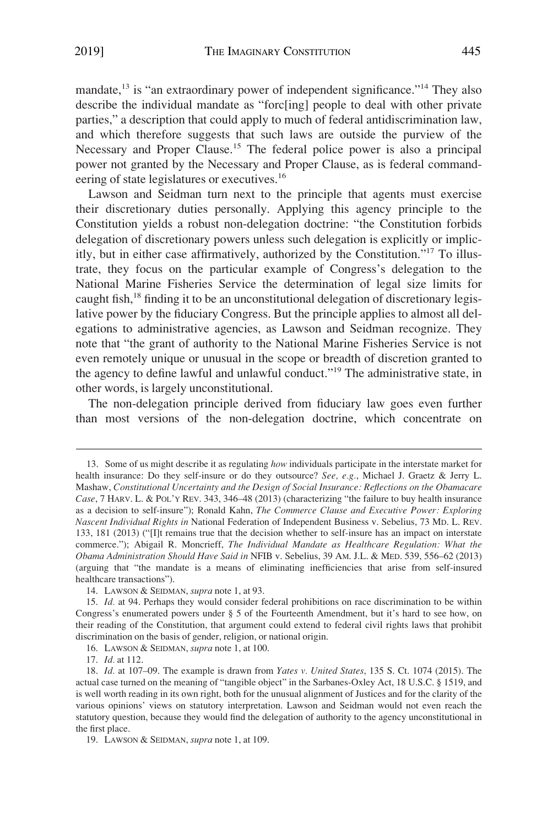mandate,<sup>13</sup> is "an extraordinary power of independent significance."<sup>14</sup> They also describe the individual mandate as "forc[ing] people to deal with other private parties," a description that could apply to much of federal antidiscrimination law, and which therefore suggests that such laws are outside the purview of the Necessary and Proper Clause.<sup>15</sup> The federal police power is also a principal power not granted by the Necessary and Proper Clause, as is federal commandeering of state legislatures or executives.<sup>16</sup>

Lawson and Seidman turn next to the principle that agents must exercise their discretionary duties personally. Applying this agency principle to the Constitution yields a robust non-delegation doctrine: "the Constitution forbids delegation of discretionary powers unless such delegation is explicitly or implicitly, but in either case affirmatively, authorized by the Constitution."17 To illustrate, they focus on the particular example of Congress's delegation to the National Marine Fisheries Service the determination of legal size limits for caught fish,18 finding it to be an unconstitutional delegation of discretionary legislative power by the fiduciary Congress. But the principle applies to almost all delegations to administrative agencies, as Lawson and Seidman recognize. They note that "the grant of authority to the National Marine Fisheries Service is not even remotely unique or unusual in the scope or breadth of discretion granted to the agency to define lawful and unlawful conduct."19 The administrative state, in other words, is largely unconstitutional.

The non-delegation principle derived from fiduciary law goes even further than most versions of the non-delegation doctrine, which concentrate on

<sup>13.</sup> Some of us might describe it as regulating *how* individuals participate in the interstate market for health insurance: Do they self-insure or do they outsource? *See, e.g.*, Michael J. Graetz & Jerry L. Mashaw, *Constitutional Uncertainty and the Design of Social Insurance: Reflections on the Obamacare Case*, 7 HARV. L. & POL'Y REV. 343, 346–48 (2013) (characterizing "the failure to buy health insurance as a decision to self-insure"); Ronald Kahn, *The Commerce Clause and Executive Power: Exploring Nascent Individual Rights in* National Federation of Independent Business v. Sebelius, 73 MD. L. REV. 133, 181 (2013) ("[I]t remains true that the decision whether to self-insure has an impact on interstate commerce."); Abigail R. Moncrieff, *The Individual Mandate as Healthcare Regulation: What the Obama Administration Should Have Said in* NFIB v. Sebelius, 39 AM. J.L. & MED. 539, 556–62 (2013) (arguing that "the mandate is a means of eliminating inefficiencies that arise from self-insured healthcare transactions").

<sup>14.</sup> LAWSON & SEIDMAN, *supra* note 1, at 93.

<sup>15.</sup> *Id.* at 94. Perhaps they would consider federal prohibitions on race discrimination to be within Congress's enumerated powers under § 5 of the Fourteenth Amendment, but it's hard to see how, on their reading of the Constitution, that argument could extend to federal civil rights laws that prohibit discrimination on the basis of gender, religion, or national origin.

<sup>16.</sup> LAWSON & SEIDMAN, *supra* note 1, at 100.

<sup>17.</sup> *Id.* at 112.

<sup>18.</sup> *Id.* at 107–09. The example is drawn from *Yates v. United States*, 135 S. Ct. 1074 (2015). The actual case turned on the meaning of "tangible object" in the Sarbanes-Oxley Act, 18 U.S.C. § 1519, and is well worth reading in its own right, both for the unusual alignment of Justices and for the clarity of the various opinions' views on statutory interpretation. Lawson and Seidman would not even reach the statutory question, because they would find the delegation of authority to the agency unconstitutional in the first place.

<sup>19.</sup> LAWSON & SEIDMAN, *supra* note 1, at 109.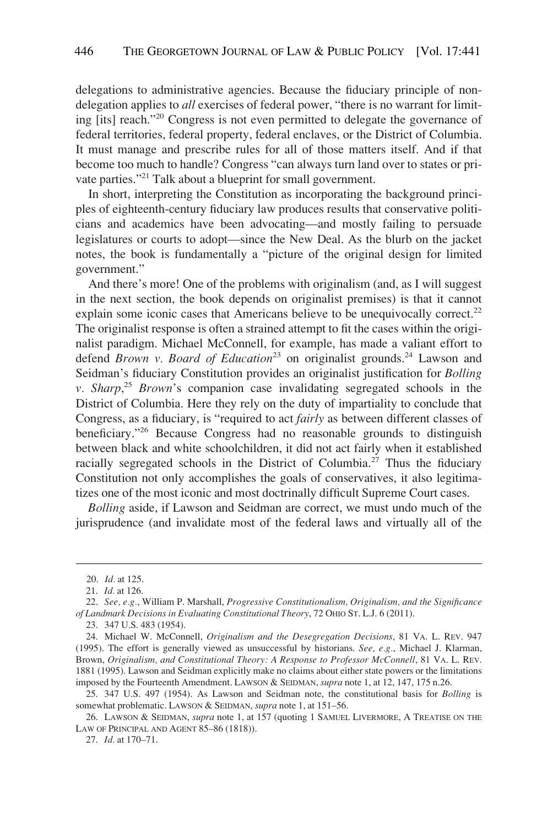delegations to administrative agencies. Because the fiduciary principle of nondelegation applies to *all* exercises of federal power, "there is no warrant for limiting [its] reach."20 Congress is not even permitted to delegate the governance of federal territories, federal property, federal enclaves, or the District of Columbia. It must manage and prescribe rules for all of those matters itself. And if that become too much to handle? Congress "can always turn land over to states or private parties."<sup>21</sup> Talk about a blueprint for small government.

In short, interpreting the Constitution as incorporating the background principles of eighteenth-century fiduciary law produces results that conservative politicians and academics have been advocating—and mostly failing to persuade legislatures or courts to adopt—since the New Deal. As the blurb on the jacket notes, the book is fundamentally a "picture of the original design for limited government."

And there's more! One of the problems with originalism (and, as I will suggest in the next section, the book depends on originalist premises) is that it cannot explain some iconic cases that Americans believe to be unequivocally correct.<sup>22</sup> The originalist response is often a strained attempt to fit the cases within the originalist paradigm. Michael McConnell, for example, has made a valiant effort to defend *Brown v. Board of Education*<sup>23</sup> on originalist grounds.<sup>24</sup> Lawson and Seidman's fiduciary Constitution provides an originalist justification for *Bolling v. Sharp*, <sup>25</sup>*Brown*'s companion case invalidating segregated schools in the District of Columbia. Here they rely on the duty of impartiality to conclude that Congress, as a fiduciary, is "required to act *fairly* as between different classes of beneficiary."26 Because Congress had no reasonable grounds to distinguish between black and white schoolchildren, it did not act fairly when it established racially segregated schools in the District of Columbia.<sup>27</sup> Thus the fiduciary Constitution not only accomplishes the goals of conservatives, it also legitimatizes one of the most iconic and most doctrinally difficult Supreme Court cases.

*Bolling* aside, if Lawson and Seidman are correct, we must undo much of the jurisprudence (and invalidate most of the federal laws and virtually all of the

<sup>20.</sup> *Id.* at 125.

<sup>21.</sup> *Id.* at 126.

<sup>22.</sup> *See, e.g.*, William P. Marshall, *Progressive Constitutionalism, Originalism, and the Significance of Landmark Decisions in Evaluating Constitutional Theory*, 72 OHIO ST. L.J. 6 (2011).

<sup>23. 347</sup> U.S. 483 (1954).

<sup>24.</sup> Michael W. McConnell, *Originalism and the Desegregation Decisions*, 81 VA. L. REV. 947 (1995). The effort is generally viewed as unsuccessful by historians. *See, e.g.*, Michael J. Klarman, Brown, *Originalism, and Constitutional Theory: A Response to Professor McConnell*, 81 VA. L. REV. 1881 (1995). Lawson and Seidman explicitly make no claims about either state powers or the limitations imposed by the Fourteenth Amendment. LAWSON & SEIDMAN, *supra* note 1, at 12, 147, 175 n.26.

<sup>25. 347</sup> U.S. 497 (1954). As Lawson and Seidman note, the constitutional basis for *Bolling* is somewhat problematic. LAWSON & SEIDMAN, *supra* note 1, at 151–56.

<sup>26.</sup> LAWSON & SEIDMAN, *supra* note 1, at 157 (quoting 1 SAMUEL LIVERMORE, A TREATISE ON THE LAW OF PRINCIPAL AND AGENT 85–86 (1818)).

<sup>27.</sup> *Id.* at 170–71.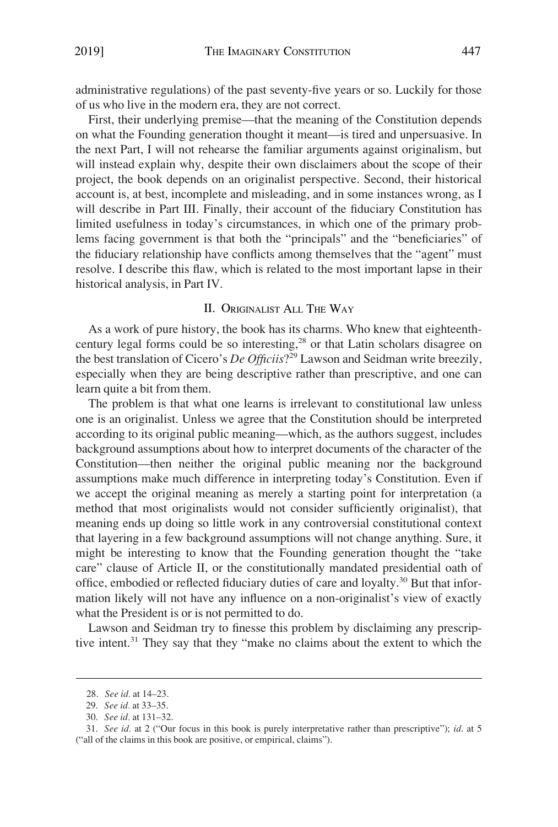<span id="page-7-0"></span>administrative regulations) of the past seventy-five years or so. Luckily for those of us who live in the modern era, they are not correct.

First, their underlying premise—that the meaning of the Constitution depends on what the Founding generation thought it meant—is tired and unpersuasive. In the next Part, I will not rehearse the familiar arguments against originalism, but will instead explain why, despite their own disclaimers about the scope of their project, the book depends on an originalist perspective. Second, their historical account is, at best, incomplete and misleading, and in some instances wrong, as I will describe in Part III. Finally, their account of the fiduciary Constitution has limited usefulness in today's circumstances, in which one of the primary problems facing government is that both the "principals" and the "beneficiaries" of the fiduciary relationship have conflicts among themselves that the "agent" must resolve. I describe this flaw, which is related to the most important lapse in their historical analysis, in Part IV.

#### II. ORIGINALIST ALL THE WAY

As a work of pure history, the book has its charms. Who knew that eighteenthcentury legal forms could be so interesting, $28$  or that Latin scholars disagree on the best translation of Cicero's *De Officiis*?29 Lawson and Seidman write breezily, especially when they are being descriptive rather than prescriptive, and one can learn quite a bit from them.

The problem is that what one learns is irrelevant to constitutional law unless one is an originalist. Unless we agree that the Constitution should be interpreted according to its original public meaning—which, as the authors suggest, includes background assumptions about how to interpret documents of the character of the Constitution—then neither the original public meaning nor the background assumptions make much difference in interpreting today's Constitution. Even if we accept the original meaning as merely a starting point for interpretation (a method that most originalists would not consider sufficiently originalist), that meaning ends up doing so little work in any controversial constitutional context that layering in a few background assumptions will not change anything. Sure, it might be interesting to know that the Founding generation thought the "take care" clause of Article II, or the constitutionally mandated presidential oath of office, embodied or reflected fiduciary duties of care and loyalty.<sup>30</sup> But that information likely will not have any influence on a non-originalist's view of exactly what the President is or is not permitted to do.

Lawson and Seidman try to finesse this problem by disclaiming any prescriptive intent.31 They say that they "make no claims about the extent to which the

<sup>28.</sup> *See id.* at 14–23.

<sup>29.</sup> *See id.* at 33–35.

<sup>30.</sup> *See id.* at 131–32.

<sup>31.</sup> *See id.* at 2 ("Our focus in this book is purely interpretative rather than prescriptive"); *id*. at 5 ("all of the claims in this book are positive, or empirical, claims").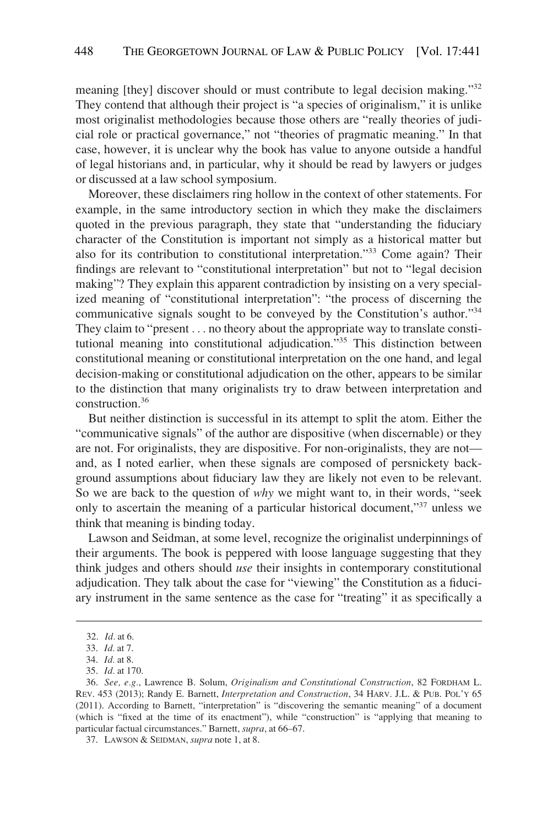meaning [they] discover should or must contribute to legal decision making."32 They contend that although their project is "a species of originalism," it is unlike most originalist methodologies because those others are "really theories of judicial role or practical governance," not "theories of pragmatic meaning." In that case, however, it is unclear why the book has value to anyone outside a handful of legal historians and, in particular, why it should be read by lawyers or judges or discussed at a law school symposium.

Moreover, these disclaimers ring hollow in the context of other statements. For example, in the same introductory section in which they make the disclaimers quoted in the previous paragraph, they state that "understanding the fiduciary character of the Constitution is important not simply as a historical matter but also for its contribution to constitutional interpretation."33 Come again? Their findings are relevant to "constitutional interpretation" but not to "legal decision making"? They explain this apparent contradiction by insisting on a very specialized meaning of "constitutional interpretation": "the process of discerning the communicative signals sought to be conveyed by the Constitution's author."34 They claim to "present . . . no theory about the appropriate way to translate constitutional meaning into constitutional adjudication."35 This distinction between constitutional meaning or constitutional interpretation on the one hand, and legal decision-making or constitutional adjudication on the other, appears to be similar to the distinction that many originalists try to draw between interpretation and construction.36

But neither distinction is successful in its attempt to split the atom. Either the "communicative signals" of the author are dispositive (when discernable) or they are not. For originalists, they are dispositive. For non-originalists, they are not and, as I noted earlier, when these signals are composed of persnickety background assumptions about fiduciary law they are likely not even to be relevant. So we are back to the question of *why* we might want to, in their words, "seek only to ascertain the meaning of a particular historical document,"37 unless we think that meaning is binding today.

Lawson and Seidman, at some level, recognize the originalist underpinnings of their arguments. The book is peppered with loose language suggesting that they think judges and others should *use* their insights in contemporary constitutional adjudication. They talk about the case for "viewing" the Constitution as a fiduciary instrument in the same sentence as the case for "treating" it as specifically a

<sup>32.</sup> *Id.* at 6.

<sup>33.</sup> *Id.* at 7.

<sup>34.</sup> *Id.* at 8.

<sup>35.</sup> *Id.* at 170.

<sup>36.</sup> *See, e.g.*, Lawrence B. Solum, *Originalism and Constitutional Construction*, 82 FORDHAM L. REV. 453 (2013); Randy E. Barnett, *Interpretation and Construction*, 34 HARV. J.L. & PUB. POL'Y 65 (2011). According to Barnett, "interpretation" is "discovering the semantic meaning" of a document (which is "fixed at the time of its enactment"), while "construction" is "applying that meaning to particular factual circumstances." Barnett, *supra*, at 66–67.

<sup>37.</sup> LAWSON & SEIDMAN, *supra* note 1, at 8.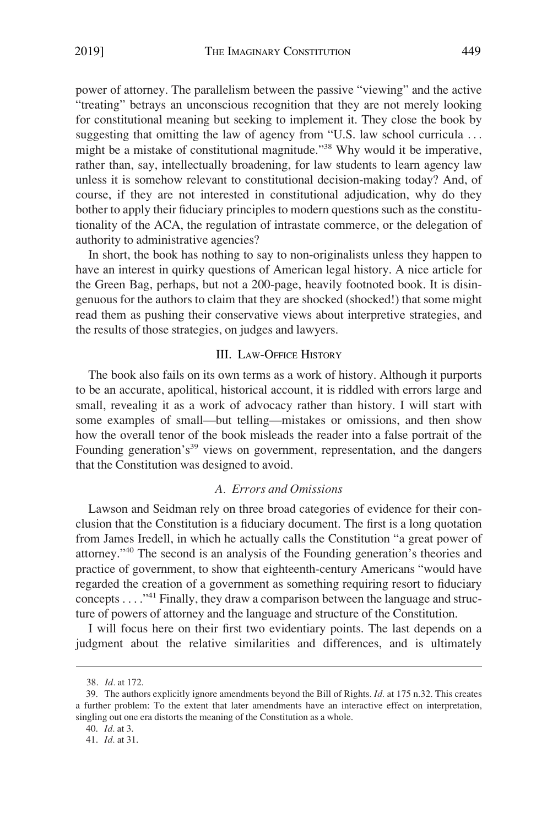<span id="page-9-0"></span>power of attorney. The parallelism between the passive "viewing" and the active "treating" betrays an unconscious recognition that they are not merely looking for constitutional meaning but seeking to implement it. They close the book by suggesting that omitting the law of agency from "U.S. law school curricula ... might be a mistake of constitutional magnitude."38 Why would it be imperative, rather than, say, intellectually broadening, for law students to learn agency law unless it is somehow relevant to constitutional decision-making today? And, of course, if they are not interested in constitutional adjudication, why do they bother to apply their fiduciary principles to modern questions such as the constitutionality of the ACA, the regulation of intrastate commerce, or the delegation of authority to administrative agencies?

In short, the book has nothing to say to non-originalists unless they happen to have an interest in quirky questions of American legal history. A nice article for the Green Bag, perhaps, but not a 200-page, heavily footnoted book. It is disingenuous for the authors to claim that they are shocked (shocked!) that some might read them as pushing their conservative views about interpretive strategies, and the results of those strategies, on judges and lawyers.

#### III. LAW-OFFICE HISTORY

The book also fails on its own terms as a work of history. Although it purports to be an accurate, apolitical, historical account, it is riddled with errors large and small, revealing it as a work of advocacy rather than history. I will start with some examples of small—but telling—mistakes or omissions, and then show how the overall tenor of the book misleads the reader into a false portrait of the Founding generation's<sup>39</sup> views on government, representation, and the dangers that the Constitution was designed to avoid.

#### *A. Errors and Omissions*

Lawson and Seidman rely on three broad categories of evidence for their conclusion that the Constitution is a fiduciary document. The first is a long quotation from James Iredell, in which he actually calls the Constitution "a great power of attorney."40 The second is an analysis of the Founding generation's theories and practice of government, to show that eighteenth-century Americans "would have regarded the creation of a government as something requiring resort to fiduciary concepts . . . ."41 Finally, they draw a comparison between the language and structure of powers of attorney and the language and structure of the Constitution.

I will focus here on their first two evidentiary points. The last depends on a judgment about the relative similarities and differences, and is ultimately

<sup>38.</sup> *Id.* at 172.

<sup>39.</sup> The authors explicitly ignore amendments beyond the Bill of Rights. *Id.* at 175 n.32. This creates a further problem: To the extent that later amendments have an interactive effect on interpretation, singling out one era distorts the meaning of the Constitution as a whole.

<sup>40.</sup> *Id.* at 3.

<sup>41.</sup> *Id.* at 31.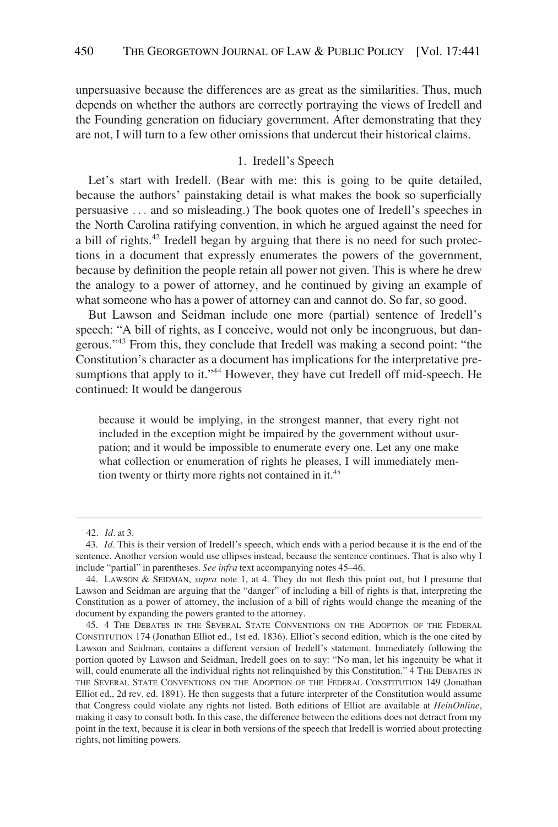<span id="page-10-0"></span>unpersuasive because the differences are as great as the similarities. Thus, much depends on whether the authors are correctly portraying the views of Iredell and the Founding generation on fiduciary government. After demonstrating that they are not, I will turn to a few other omissions that undercut their historical claims.

#### 1. Iredell's Speech

Let's start with Iredell. (Bear with me: this is going to be quite detailed, because the authors' painstaking detail is what makes the book so superficially persuasive . . . and so misleading.) The book quotes one of Iredell's speeches in the North Carolina ratifying convention, in which he argued against the need for a bill of rights.<sup>42</sup> Iredell began by arguing that there is no need for such protections in a document that expressly enumerates the powers of the government, because by definition the people retain all power not given. This is where he drew the analogy to a power of attorney, and he continued by giving an example of what someone who has a power of attorney can and cannot do. So far, so good.

But Lawson and Seidman include one more (partial) sentence of Iredell's speech: "A bill of rights, as I conceive, would not only be incongruous, but dangerous."43 From this, they conclude that Iredell was making a second point: "the Constitution's character as a document has implications for the interpretative presumptions that apply to it."<sup>44</sup> However, they have cut Iredell off mid-speech. He continued: It would be dangerous

because it would be implying, in the strongest manner, that every right not included in the exception might be impaired by the government without usurpation; and it would be impossible to enumerate every one. Let any one make what collection or enumeration of rights he pleases, I will immediately mention twenty or thirty more rights not contained in it.<sup>45</sup>

<sup>42.</sup> *Id.* at 3.

<sup>43.</sup> *Id.* This is their version of Iredell's speech, which ends with a period because it is the end of the sentence. Another version would use ellipses instead, because the sentence continues. That is also why I include "partial" in parentheses. *See infra* text accompanying notes 45–46.

<sup>44.</sup> LAWSON & SEIDMAN, *supra* note 1, at 4. They do not flesh this point out, but I presume that Lawson and Seidman are arguing that the "danger" of including a bill of rights is that, interpreting the Constitution as a power of attorney, the inclusion of a bill of rights would change the meaning of the document by expanding the powers granted to the attorney.

<sup>45. 4</sup> THE DEBATES IN THE SEVERAL STATE CONVENTIONS ON THE ADOPTION OF THE FEDERAL CONSTITUTION 174 (Jonathan Elliot ed., 1st ed. 1836). Elliot's second edition, which is the one cited by Lawson and Seidman, contains a different version of Iredell's statement. Immediately following the portion quoted by Lawson and Seidman, Iredell goes on to say: "No man, let his ingenuity be what it will, could enumerate all the individual rights not relinquished by this Constitution." 4 THE DEBATES IN THE SEVERAL STATE CONVENTIONS ON THE ADOPTION OF THE FEDERAL CONSTITUTION 149 (Jonathan Elliot ed., 2d rev. ed. 1891). He then suggests that a future interpreter of the Constitution would assume that Congress could violate any rights not listed. Both editions of Elliot are available at *HeinOnline*, making it easy to consult both. In this case, the difference between the editions does not detract from my point in the text, because it is clear in both versions of the speech that Iredell is worried about protecting rights, not limiting powers.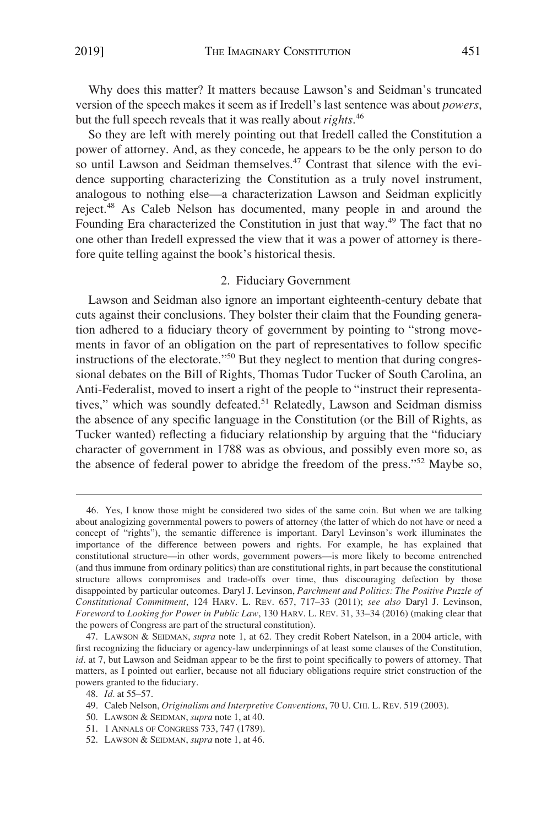<span id="page-11-0"></span>Why does this matter? It matters because Lawson's and Seidman's truncated version of the speech makes it seem as if Iredell's last sentence was about *powers*, but the full speech reveals that it was really about *rights*. 46

So they are left with merely pointing out that Iredell called the Constitution a power of attorney. And, as they concede, he appears to be the only person to do so until Lawson and Seidman themselves.<sup>47</sup> Contrast that silence with the evidence supporting characterizing the Constitution as a truly novel instrument, analogous to nothing else—a characterization Lawson and Seidman explicitly reject.48 As Caleb Nelson has documented, many people in and around the Founding Era characterized the Constitution in just that way.49 The fact that no one other than Iredell expressed the view that it was a power of attorney is therefore quite telling against the book's historical thesis.

#### 2. Fiduciary Government

Lawson and Seidman also ignore an important eighteenth-century debate that cuts against their conclusions. They bolster their claim that the Founding generation adhered to a fiduciary theory of government by pointing to "strong movements in favor of an obligation on the part of representatives to follow specific instructions of the electorate."50 But they neglect to mention that during congressional debates on the Bill of Rights, Thomas Tudor Tucker of South Carolina, an Anti-Federalist, moved to insert a right of the people to "instruct their representatives," which was soundly defeated.<sup>51</sup> Relatedly, Lawson and Seidman dismiss the absence of any specific language in the Constitution (or the Bill of Rights, as Tucker wanted) reflecting a fiduciary relationship by arguing that the "fiduciary character of government in 1788 was as obvious, and possibly even more so, as the absence of federal power to abridge the freedom of the press."52 Maybe so,

<sup>46.</sup> Yes, I know those might be considered two sides of the same coin. But when we are talking about analogizing governmental powers to powers of attorney (the latter of which do not have or need a concept of "rights"), the semantic difference is important. Daryl Levinson's work illuminates the importance of the difference between powers and rights. For example, he has explained that constitutional structure—in other words, government powers—is more likely to become entrenched (and thus immune from ordinary politics) than are constitutional rights, in part because the constitutional structure allows compromises and trade-offs over time, thus discouraging defection by those disappointed by particular outcomes. Daryl J. Levinson, *Parchment and Politics: The Positive Puzzle of Constitutional Commitment*, 124 HARV. L. REV. 657, 717–33 (2011); *see also* Daryl J. Levinson, *Foreword* to *Looking for Power in Public Law*, 130 HARV. L. REV. 31, 33–34 (2016) (making clear that the powers of Congress are part of the structural constitution).

<sup>47.</sup> LAWSON & SEIDMAN, *supra* note 1, at 62. They credit Robert Natelson, in a 2004 article, with first recognizing the fiduciary or agency-law underpinnings of at least some clauses of the Constitution, *id*. at 7, but Lawson and Seidman appear to be the first to point specifically to powers of attorney. That matters, as I pointed out earlier, because not all fiduciary obligations require strict construction of the powers granted to the fiduciary.

<sup>48.</sup> *Id.* at 55–57.

<sup>49.</sup> Caleb Nelson, *Originalism and Interpretive Conventions*, 70 U. CHI. L. REV. 519 (2003).

<sup>50.</sup> LAWSON & SEIDMAN, *supra* note 1, at 40.

<sup>51. 1</sup> ANNALS OF CONGRESS 733, 747 (1789).

<sup>52.</sup> LAWSON & SEIDMAN, *supra* note 1, at 46.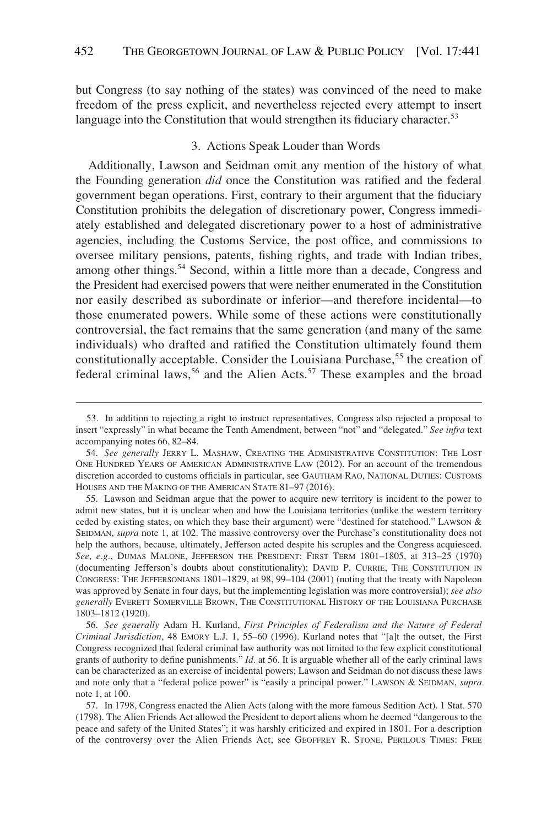<span id="page-12-0"></span>but Congress (to say nothing of the states) was convinced of the need to make freedom of the press explicit, and nevertheless rejected every attempt to insert language into the Constitution that would strengthen its fiduciary character.<sup>53</sup>

#### 3. Actions Speak Louder than Words

Additionally, Lawson and Seidman omit any mention of the history of what the Founding generation *did* once the Constitution was ratified and the federal government began operations. First, contrary to their argument that the fiduciary Constitution prohibits the delegation of discretionary power, Congress immediately established and delegated discretionary power to a host of administrative agencies, including the Customs Service, the post office, and commissions to oversee military pensions, patents, fishing rights, and trade with Indian tribes, among other things.<sup>54</sup> Second, within a little more than a decade, Congress and the President had exercised powers that were neither enumerated in the Constitution nor easily described as subordinate or inferior—and therefore incidental—to those enumerated powers. While some of these actions were constitutionally controversial, the fact remains that the same generation (and many of the same individuals) who drafted and ratified the Constitution ultimately found them constitutionally acceptable. Consider the Louisiana Purchase,<sup>55</sup> the creation of federal criminal laws,<sup>56</sup> and the Alien Acts.<sup>57</sup> These examples and the broad

<sup>53.</sup> In addition to rejecting a right to instruct representatives, Congress also rejected a proposal to insert "expressly" in what became the Tenth Amendment, between "not" and "delegated." *See infra* text accompanying notes 66, 82–84.

<sup>54.</sup> *See generally* JERRY L. MASHAW, CREATING THE ADMINISTRATIVE CONSTITUTION: THE LOST ONE HUNDRED YEARS OF AMERICAN ADMINISTRATIVE LAW (2012). For an account of the tremendous discretion accorded to customs officials in particular, see GAUTHAM RAO, NATIONAL DUTIES: CUSTOMS HOUSES AND THE MAKING OF THE AMERICAN STATE 81–97 (2016).

<sup>55.</sup> Lawson and Seidman argue that the power to acquire new territory is incident to the power to admit new states, but it is unclear when and how the Louisiana territories (unlike the western territory ceded by existing states, on which they base their argument) were "destined for statehood." LAWSON & SEIDMAN, *supra* note 1, at 102. The massive controversy over the Purchase's constitutionality does not help the authors, because, ultimately, Jefferson acted despite his scruples and the Congress acquiesced. *See, e.g.*, DUMAS MALONE, JEFFERSON THE PRESIDENT: FIRST TERM 1801–1805, at 313–25 (1970) (documenting Jefferson's doubts about constitutionality); DAVID P. CURRIE, THE CONSTITUTION IN CONGRESS: THE JEFFERSONIANS 1801–1829, at 98, 99–104 (2001) (noting that the treaty with Napoleon was approved by Senate in four days, but the implementing legislation was more controversial); *see also generally* EVERETT SOMERVILLE BROWN, THE CONSTITUTIONAL HISTORY OF THE LOUISIANA PURCHASE 1803–1812 (1920).

<sup>56.</sup> *See generally* Adam H. Kurland, *First Principles of Federalism and the Nature of Federal Criminal Jurisdiction*, 48 EMORY L.J. 1, 55–60 (1996). Kurland notes that "[a]t the outset, the First Congress recognized that federal criminal law authority was not limited to the few explicit constitutional grants of authority to define punishments." *Id.* at 56. It is arguable whether all of the early criminal laws can be characterized as an exercise of incidental powers; Lawson and Seidman do not discuss these laws and note only that a "federal police power" is "easily a principal power." LAWSON & SEIDMAN, *supra*  note 1, at 100.

<sup>57.</sup> In 1798, Congress enacted the Alien Acts (along with the more famous Sedition Act). 1 Stat. 570 (1798). The Alien Friends Act allowed the President to deport aliens whom he deemed "dangerous to the peace and safety of the United States"; it was harshly criticized and expired in 1801. For a description of the controversy over the Alien Friends Act, see GEOFFREY R. STONE, PERILOUS TIMES: FREE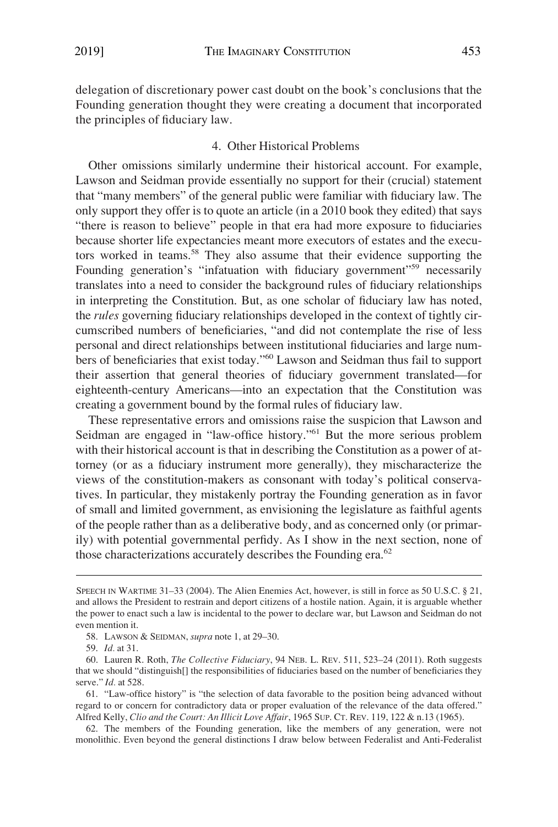<span id="page-13-0"></span>delegation of discretionary power cast doubt on the book's conclusions that the Founding generation thought they were creating a document that incorporated the principles of fiduciary law.

#### 4. Other Historical Problems

Other omissions similarly undermine their historical account. For example, Lawson and Seidman provide essentially no support for their (crucial) statement that "many members" of the general public were familiar with fiduciary law. The only support they offer is to quote an article (in a 2010 book they edited) that says "there is reason to believe" people in that era had more exposure to fiduciaries because shorter life expectancies meant more executors of estates and the executors worked in teams.58 They also assume that their evidence supporting the Founding generation's "infatuation with fiduciary government"<sup>59</sup> necessarily translates into a need to consider the background rules of fiduciary relationships in interpreting the Constitution. But, as one scholar of fiduciary law has noted, the *rules* governing fiduciary relationships developed in the context of tightly circumscribed numbers of beneficiaries, "and did not contemplate the rise of less personal and direct relationships between institutional fiduciaries and large numbers of beneficiaries that exist today."60 Lawson and Seidman thus fail to support their assertion that general theories of fiduciary government translated—for eighteenth-century Americans—into an expectation that the Constitution was creating a government bound by the formal rules of fiduciary law.

These representative errors and omissions raise the suspicion that Lawson and Seidman are engaged in "law-office history."<sup>61</sup> But the more serious problem with their historical account is that in describing the Constitution as a power of attorney (or as a fiduciary instrument more generally), they mischaracterize the views of the constitution-makers as consonant with today's political conservatives. In particular, they mistakenly portray the Founding generation as in favor of small and limited government, as envisioning the legislature as faithful agents of the people rather than as a deliberative body, and as concerned only (or primarily) with potential governmental perfidy. As I show in the next section, none of those characterizations accurately describes the Founding era.<sup>62</sup>

SPEECH IN WARTIME 31–33 (2004). The Alien Enemies Act, however, is still in force as 50 U.S.C. § 21, and allows the President to restrain and deport citizens of a hostile nation. Again, it is arguable whether the power to enact such a law is incidental to the power to declare war, but Lawson and Seidman do not even mention it.

<sup>58.</sup> LAWSON & SEIDMAN, *supra* note 1, at 29–30.

<sup>59.</sup> *Id.* at 31.

<sup>60.</sup> Lauren R. Roth, *The Collective Fiduciary*, 94 NEB. L. REV. 511, 523–24 (2011). Roth suggests that we should "distinguish[] the responsibilities of fiduciaries based on the number of beneficiaries they serve." *Id.* at 528.

<sup>61. &</sup>quot;Law-office history" is "the selection of data favorable to the position being advanced without regard to or concern for contradictory data or proper evaluation of the relevance of the data offered." Alfred Kelly, *Clio and the Court: An Illicit Love Affair*, 1965 SUP. CT. REV. 119, 122 & n.13 (1965).

<sup>62.</sup> The members of the Founding generation, like the members of any generation, were not monolithic. Even beyond the general distinctions I draw below between Federalist and Anti-Federalist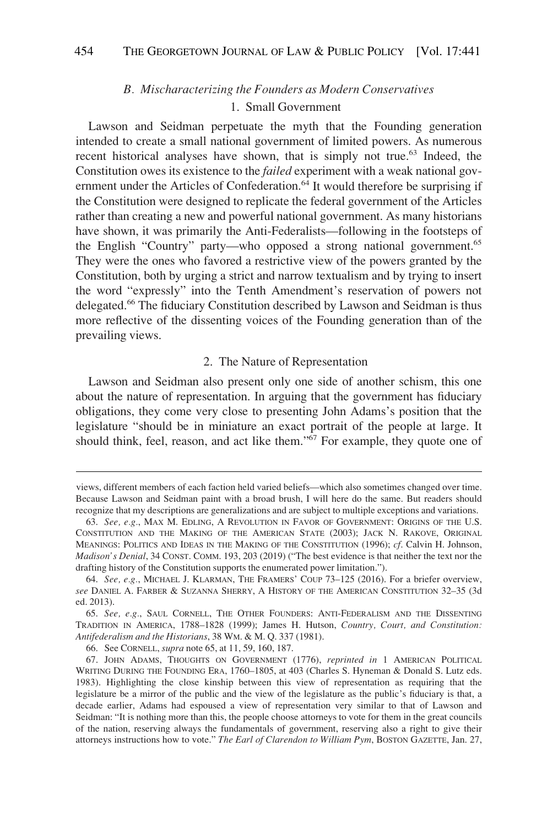## *B. Mischaracterizing the Founders as Modern Conservatives*  1. Small Government

<span id="page-14-0"></span>Lawson and Seidman perpetuate the myth that the Founding generation intended to create a small national government of limited powers. As numerous recent historical analyses have shown, that is simply not true.<sup>63</sup> Indeed, the Constitution owes its existence to the *failed* experiment with a weak national government under the Articles of Confederation.<sup>64</sup> It would therefore be surprising if the Constitution were designed to replicate the federal government of the Articles rather than creating a new and powerful national government. As many historians have shown, it was primarily the Anti-Federalists—following in the footsteps of the English "Country" party—who opposed a strong national government.65 They were the ones who favored a restrictive view of the powers granted by the Constitution, both by urging a strict and narrow textualism and by trying to insert the word "expressly" into the Tenth Amendment's reservation of powers not delegated.66 The fiduciary Constitution described by Lawson and Seidman is thus more reflective of the dissenting voices of the Founding generation than of the prevailing views.

#### 2. The Nature of Representation

Lawson and Seidman also present only one side of another schism, this one about the nature of representation. In arguing that the government has fiduciary obligations, they come very close to presenting John Adams's position that the legislature "should be in miniature an exact portrait of the people at large. It should think, feel, reason, and act like them."<sup>67</sup> For example, they quote one of

views, different members of each faction held varied beliefs—which also sometimes changed over time. Because Lawson and Seidman paint with a broad brush, I will here do the same. But readers should recognize that my descriptions are generalizations and are subject to multiple exceptions and variations.

<sup>63.</sup> *See, e.g.*, MAX M. EDLING, A REVOLUTION IN FAVOR OF GOVERNMENT: ORIGINS OF THE U.S. CONSTITUTION AND THE MAKING OF THE AMERICAN STATE (2003); JACK N. RAKOVE, ORIGINAL MEANINGS: POLITICS AND IDEAS IN THE MAKING OF THE CONSTITUTION (1996); *cf*. Calvin H. Johnson, *Madison's Denial*, 34 CONST. COMM. 193, 203 (2019) ("The best evidence is that neither the text nor the drafting history of the Constitution supports the enumerated power limitation.").

<sup>64.</sup> *See, e.g.*, MICHAEL J. KLARMAN, THE FRAMERS' COUP 73–125 (2016). For a briefer overview, *see* DANIEL A. FARBER & SUZANNA SHERRY, A HISTORY OF THE AMERICAN CONSTITUTION 32–35 (3d ed. 2013).

<sup>65.</sup> *See, e.g.*, SAUL CORNELL, THE OTHER FOUNDERS: ANTI-FEDERALISM AND THE DISSENTING TRADITION IN AMERICA, 1788–1828 (1999); James H. Hutson, *Country, Court, and Constitution: Antifederalism and the Historians*, 38 WM. & M. Q. 337 (1981).

<sup>66.</sup> See CORNELL, *supra* note 65, at 11, 59, 160, 187.

<sup>67.</sup> JOHN ADAMS, THOUGHTS ON GOVERNMENT (1776), *reprinted in* 1 AMERICAN POLITICAL WRITING DURING THE FOUNDING ERA, 1760–1805, at 403 (Charles S. Hyneman & Donald S. Lutz eds. 1983). Highlighting the close kinship between this view of representation as requiring that the legislature be a mirror of the public and the view of the legislature as the public's fiduciary is that, a decade earlier, Adams had espoused a view of representation very similar to that of Lawson and Seidman: "It is nothing more than this, the people choose attorneys to vote for them in the great councils of the nation, reserving always the fundamentals of government, reserving also a right to give their attorneys instructions how to vote." *The Earl of Clarendon to William Pym*, BOSTON GAZETTE, Jan. 27,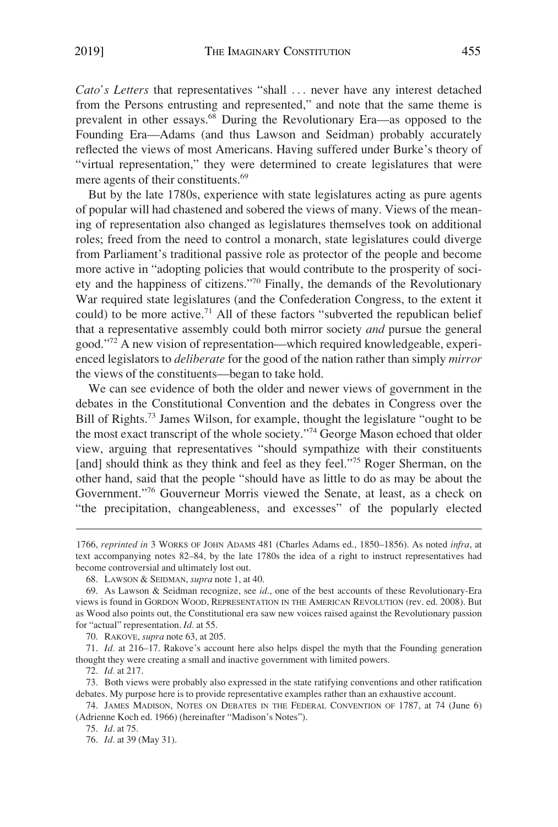*Cato's Letters* that representatives "shall ... never have any interest detached from the Persons entrusting and represented," and note that the same theme is prevalent in other essays.<sup>68</sup> During the Revolutionary Era—as opposed to the Founding Era—Adams (and thus Lawson and Seidman) probably accurately reflected the views of most Americans. Having suffered under Burke's theory of "virtual representation," they were determined to create legislatures that were mere agents of their constituents.<sup>69</sup>

But by the late 1780s, experience with state legislatures acting as pure agents of popular will had chastened and sobered the views of many. Views of the meaning of representation also changed as legislatures themselves took on additional roles; freed from the need to control a monarch, state legislatures could diverge from Parliament's traditional passive role as protector of the people and become more active in "adopting policies that would contribute to the prosperity of society and the happiness of citizens."70 Finally, the demands of the Revolutionary War required state legislatures (and the Confederation Congress, to the extent it could) to be more active.<sup>71</sup> All of these factors "subverted the republican belief that a representative assembly could both mirror society *and* pursue the general good."72 A new vision of representation—which required knowledgeable, experienced legislators to *deliberate* for the good of the nation rather than simply *mirror*  the views of the constituents—began to take hold.

We can see evidence of both the older and newer views of government in the debates in the Constitutional Convention and the debates in Congress over the Bill of Rights.73 James Wilson, for example, thought the legislature "ought to be the most exact transcript of the whole society."74 George Mason echoed that older view, arguing that representatives "should sympathize with their constituents [and] should think as they think and feel as they feel."<sup>75</sup> Roger Sherman, on the other hand, said that the people "should have as little to do as may be about the Government."76 Gouverneur Morris viewed the Senate, at least, as a check on "the precipitation, changeableness, and excesses" of the popularly elected

72. *Id.* at 217.

75. *Id.* at 75.

<sup>1766,</sup> *reprinted in* 3 WORKS OF JOHN ADAMS 481 (Charles Adams ed., 1850–1856). As noted *infra*, at text accompanying notes 82–84, by the late 1780s the idea of a right to instruct representatives had become controversial and ultimately lost out.

<sup>68.</sup> LAWSON & SEIDMAN, *supra* note 1, at 40.

<sup>69.</sup> As Lawson & Seidman recognize, see *id*., one of the best accounts of these Revolutionary-Era views is found in GORDON WOOD, REPRESENTATION IN THE AMERICAN REVOLUTION (rev. ed. 2008). But as Wood also points out, the Constitutional era saw new voices raised against the Revolutionary passion for "actual" representation. *Id.* at 55.

<sup>70.</sup> RAKOVE, *supra* note 63, at 205.

<sup>71.</sup> *Id.* at 216–17. Rakove's account here also helps dispel the myth that the Founding generation thought they were creating a small and inactive government with limited powers.

<sup>73.</sup> Both views were probably also expressed in the state ratifying conventions and other ratification debates. My purpose here is to provide representative examples rather than an exhaustive account.

<sup>74.</sup> JAMES MADISON, NOTES ON DEBATES IN THE FEDERAL CONVENTION OF 1787, at 74 (June 6) (Adrienne Koch ed. 1966) (hereinafter "Madison's Notes").

<sup>76.</sup> *Id.* at 39 (May 31).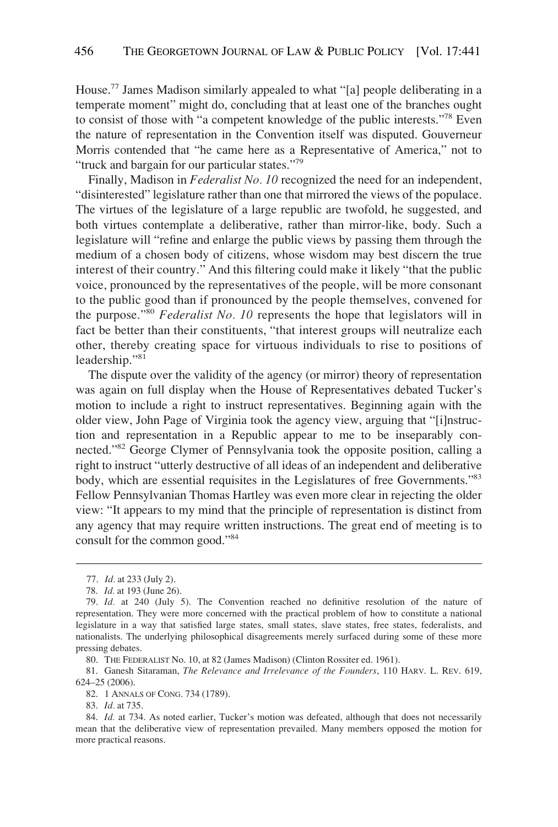House.77 James Madison similarly appealed to what "[a] people deliberating in a temperate moment" might do, concluding that at least one of the branches ought to consist of those with "a competent knowledge of the public interests."78 Even the nature of representation in the Convention itself was disputed. Gouverneur Morris contended that "he came here as a Representative of America," not to "truck and bargain for our particular states."79

Finally, Madison in *Federalist No. 10* recognized the need for an independent, "disinterested" legislature rather than one that mirrored the views of the populace. The virtues of the legislature of a large republic are twofold, he suggested, and both virtues contemplate a deliberative, rather than mirror-like, body. Such a legislature will "refine and enlarge the public views by passing them through the medium of a chosen body of citizens, whose wisdom may best discern the true interest of their country." And this filtering could make it likely "that the public voice, pronounced by the representatives of the people, will be more consonant to the public good than if pronounced by the people themselves, convened for the purpose."<sup>80</sup>*Federalist No. 10* represents the hope that legislators will in fact be better than their constituents, "that interest groups will neutralize each other, thereby creating space for virtuous individuals to rise to positions of leadership."81

The dispute over the validity of the agency (or mirror) theory of representation was again on full display when the House of Representatives debated Tucker's motion to include a right to instruct representatives. Beginning again with the older view, John Page of Virginia took the agency view, arguing that "[i]nstruction and representation in a Republic appear to me to be inseparably connected."82 George Clymer of Pennsylvania took the opposite position, calling a right to instruct "utterly destructive of all ideas of an independent and deliberative body, which are essential requisites in the Legislatures of free Governments."83 Fellow Pennsylvanian Thomas Hartley was even more clear in rejecting the older view: "It appears to my mind that the principle of representation is distinct from any agency that may require written instructions. The great end of meeting is to consult for the common good."84

83. *Id.* at 735.

<sup>77.</sup> *Id.* at 233 (July 2).

<sup>78.</sup> *Id.* at 193 (June 26).

<sup>79.</sup> *Id.* at 240 (July 5). The Convention reached no definitive resolution of the nature of representation. They were more concerned with the practical problem of how to constitute a national legislature in a way that satisfied large states, small states, slave states, free states, federalists, and nationalists. The underlying philosophical disagreements merely surfaced during some of these more pressing debates.

<sup>80.</sup> THE FEDERALIST No. 10, at 82 (James Madison) (Clinton Rossiter ed. 1961).

<sup>81.</sup> Ganesh Sitaraman, *The Relevance and Irrelevance of the Founders*, 110 HARV. L. REV. 619, 624–25 (2006).

<sup>82. 1</sup> ANNALS OF CONG. 734 (1789).

<sup>84.</sup> *Id.* at 734. As noted earlier, Tucker's motion was defeated, although that does not necessarily mean that the deliberative view of representation prevailed. Many members opposed the motion for more practical reasons.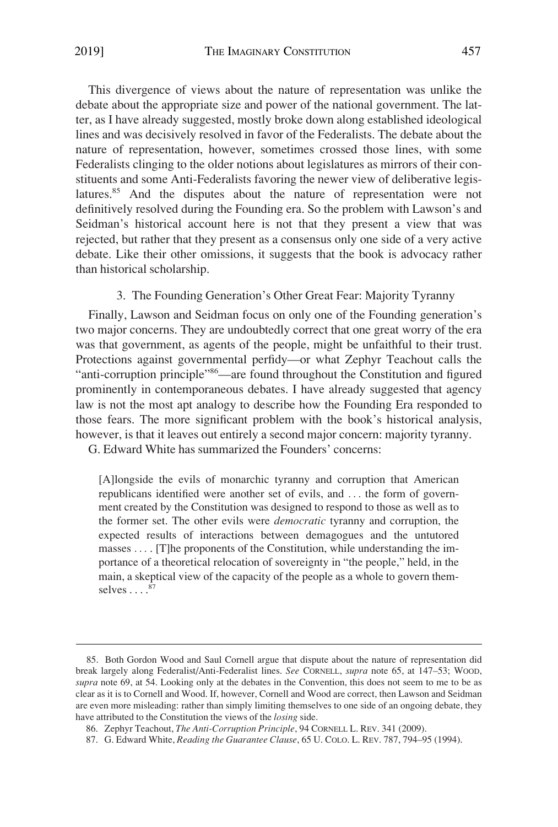<span id="page-17-0"></span>This divergence of views about the nature of representation was unlike the debate about the appropriate size and power of the national government. The latter, as I have already suggested, mostly broke down along established ideological lines and was decisively resolved in favor of the Federalists. The debate about the nature of representation, however, sometimes crossed those lines, with some Federalists clinging to the older notions about legislatures as mirrors of their constituents and some Anti-Federalists favoring the newer view of deliberative legislatures.<sup>85</sup> And the disputes about the nature of representation were not definitively resolved during the Founding era. So the problem with Lawson's and Seidman's historical account here is not that they present a view that was rejected, but rather that they present as a consensus only one side of a very active debate. Like their other omissions, it suggests that the book is advocacy rather than historical scholarship.

3. The Founding Generation's Other Great Fear: Majority Tyranny

Finally, Lawson and Seidman focus on only one of the Founding generation's two major concerns. They are undoubtedly correct that one great worry of the era was that government, as agents of the people, might be unfaithful to their trust. Protections against governmental perfidy—or what Zephyr Teachout calls the "anti-corruption principle"86—are found throughout the Constitution and figured prominently in contemporaneous debates. I have already suggested that agency law is not the most apt analogy to describe how the Founding Era responded to those fears. The more significant problem with the book's historical analysis, however, is that it leaves out entirely a second major concern: majority tyranny.

G. Edward White has summarized the Founders' concerns:

[A]longside the evils of monarchic tyranny and corruption that American republicans identified were another set of evils, and . . . the form of government created by the Constitution was designed to respond to those as well as to the former set. The other evils were *democratic* tyranny and corruption, the expected results of interactions between demagogues and the untutored masses . . . . [T]he proponents of the Constitution, while understanding the importance of a theoretical relocation of sovereignty in "the people," held, in the main, a skeptical view of the capacity of the people as a whole to govern themselves  $\ldots$ .<sup>87</sup>

<sup>85.</sup> Both Gordon Wood and Saul Cornell argue that dispute about the nature of representation did break largely along Federalist/Anti-Federalist lines. *See* CORNELL, *supra* note 65, at 147–53; WOOD, *supra* note 69, at 54. Looking only at the debates in the Convention, this does not seem to me to be as clear as it is to Cornell and Wood. If, however, Cornell and Wood are correct, then Lawson and Seidman are even more misleading: rather than simply limiting themselves to one side of an ongoing debate, they have attributed to the Constitution the views of the *losing* side.

<sup>86.</sup> Zephyr Teachout, *The Anti-Corruption Principle*, 94 CORNELL L. REV. 341 (2009).

<sup>87.</sup> G. Edward White, *Reading the Guarantee Clause*, 65 U. COLO. L. REV. 787, 794–95 (1994).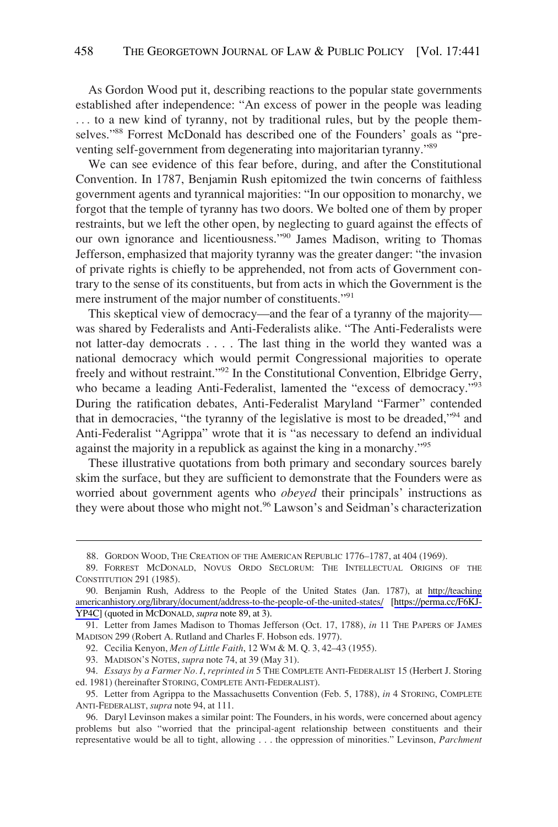As Gordon Wood put it, describing reactions to the popular state governments established after independence: "An excess of power in the people was leading ... to a new kind of tyranny, not by traditional rules, but by the people themselves."88 Forrest McDonald has described one of the Founders' goals as "preventing self-government from degenerating into majoritarian tyranny."89

We can see evidence of this fear before, during, and after the Constitutional Convention. In 1787, Benjamin Rush epitomized the twin concerns of faithless government agents and tyrannical majorities: "In our opposition to monarchy, we forgot that the temple of tyranny has two doors. We bolted one of them by proper restraints, but we left the other open, by neglecting to guard against the effects of our own ignorance and licentiousness."<sup>90</sup> James Madison, writing to Thomas Jefferson, emphasized that majority tyranny was the greater danger: "the invasion of private rights is chiefly to be apprehended, not from acts of Government contrary to the sense of its constituents, but from acts in which the Government is the mere instrument of the major number of constituents."<sup>91</sup>

This skeptical view of democracy—and the fear of a tyranny of the majority was shared by Federalists and Anti-Federalists alike. "The Anti-Federalists were not latter-day democrats . . . . The last thing in the world they wanted was a national democracy which would permit Congressional majorities to operate freely and without restraint."92 In the Constitutional Convention, Elbridge Gerry, who became a leading Anti-Federalist, lamented the "excess of democracy."<sup>93</sup> During the ratification debates, Anti-Federalist Maryland "Farmer" contended that in democracies, "the tyranny of the legislative is most to be dreaded,"94 and Anti-Federalist "Agrippa" wrote that it is "as necessary to defend an individual against the majority in a republick as against the king in a monarchy."95

These illustrative quotations from both primary and secondary sources barely skim the surface, but they are sufficient to demonstrate that the Founders were as worried about government agents who *obeyed* their principals' instructions as they were about those who might not.<sup>96</sup> Lawson's and Seidman's characterization

92. Cecilia Kenyon, *Men of Little Faith*, 12 WM & M. Q. 3, 42–43 (1955).

<sup>88.</sup> GORDON WOOD, THE CREATION OF THE AMERICAN REPUBLIC 1776–1787, at 404 (1969).

<sup>89.</sup> FORREST MCDONALD, NOVUS ORDO SECLORUM: THE INTELLECTUAL ORIGINS OF THE CONSTITUTION 291 (1985).

Benjamin Rush, Address to the People of the United States (Jan. 1787), at [http://teaching](http://teachingamericanhistory.org/library/document/address-to-the-people-of-the-united-states/)  90. [americanhistory.org/library/document/address-to-the-people-of-the-united-states/](http://teachingamericanhistory.org/library/document/address-to-the-people-of-the-united-states/) [\[https://perma.cc/F6KJ-](https://perma.cc/F6KJ-YP4C)[YP4C](https://perma.cc/F6KJ-YP4C)] (quoted in MCDONALD, *supra* note 89, at 3).

<sup>91.</sup> Letter from James Madison to Thomas Jefferson (Oct. 17, 1788), *in* 11 THE PAPERS OF JAMES MADISON 299 (Robert A. Rutland and Charles F. Hobson eds. 1977).

<sup>93.</sup> MADISON'S NOTES, *supra* note 74, at 39 (May 31).

<sup>94.</sup> *Essays by a Farmer No. I*, *reprinted in* 5 THE COMPLETE ANTI-FEDERALIST 15 (Herbert J. Storing ed. 1981) (hereinafter STORING, COMPLETE ANTI-FEDERALIST).

<sup>95.</sup> Letter from Agrippa to the Massachusetts Convention (Feb. 5, 1788), *in* 4 STORING, COMPLETE ANTI-FEDERALIST, *supra* note 94, at 111.

<sup>96.</sup> Daryl Levinson makes a similar point: The Founders, in his words, were concerned about agency problems but also "worried that the principal-agent relationship between constituents and their representative would be all to tight, allowing . . . the oppression of minorities." Levinson, *Parchment*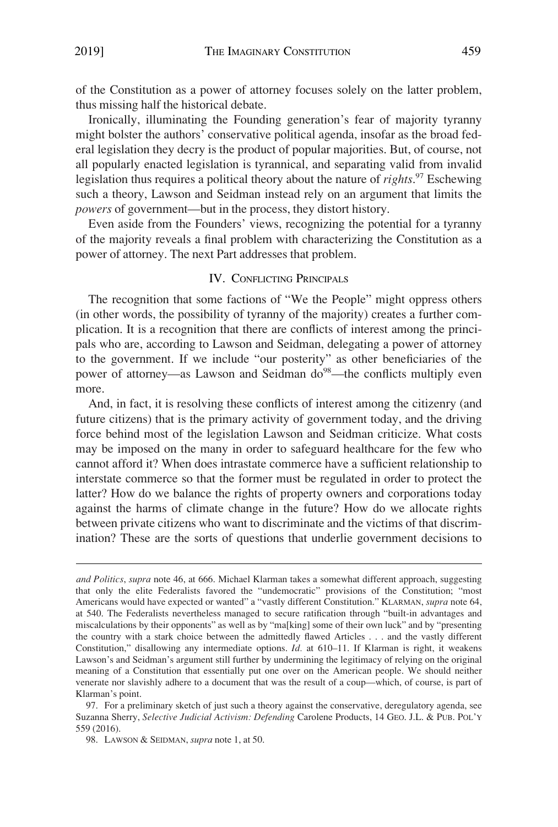<span id="page-19-0"></span>of the Constitution as a power of attorney focuses solely on the latter problem, thus missing half the historical debate.

Ironically, illuminating the Founding generation's fear of majority tyranny might bolster the authors' conservative political agenda, insofar as the broad federal legislation they decry is the product of popular majorities. But, of course, not all popularly enacted legislation is tyrannical, and separating valid from invalid legislation thus requires a political theory about the nature of *rights*. 97 Eschewing such a theory, Lawson and Seidman instead rely on an argument that limits the *powers* of government—but in the process, they distort history.

Even aside from the Founders' views, recognizing the potential for a tyranny of the majority reveals a final problem with characterizing the Constitution as a power of attorney. The next Part addresses that problem.

#### IV. CONFLICTING PRINCIPALS

The recognition that some factions of "We the People" might oppress others (in other words, the possibility of tyranny of the majority) creates a further complication. It is a recognition that there are conflicts of interest among the principals who are, according to Lawson and Seidman, delegating a power of attorney to the government. If we include "our posterity" as other beneficiaries of the power of attorney—as Lawson and Seidman do<sup>98</sup>—the conflicts multiply even more.

And, in fact, it is resolving these conflicts of interest among the citizenry (and future citizens) that is the primary activity of government today, and the driving force behind most of the legislation Lawson and Seidman criticize. What costs may be imposed on the many in order to safeguard healthcare for the few who cannot afford it? When does intrastate commerce have a sufficient relationship to interstate commerce so that the former must be regulated in order to protect the latter? How do we balance the rights of property owners and corporations today against the harms of climate change in the future? How do we allocate rights between private citizens who want to discriminate and the victims of that discrimination? These are the sorts of questions that underlie government decisions to

97. For a preliminary sketch of just such a theory against the conservative, deregulatory agenda, see Suzanna Sherry, *Selective Judicial Activism: Defending* Carolene Products, 14 GEO. J.L. & PUB. POL'Y 559 (2016).

98. LAWSON & SEIDMAN, *supra* note 1, at 50.

*and Politics*, *supra* note 46, at 666. Michael Klarman takes a somewhat different approach, suggesting that only the elite Federalists favored the "undemocratic" provisions of the Constitution; "most Americans would have expected or wanted" a "vastly different Constitution." KLARMAN, *supra* note 64, at 540. The Federalists nevertheless managed to secure ratification through "built-in advantages and miscalculations by their opponents" as well as by "ma[king] some of their own luck" and by "presenting the country with a stark choice between the admittedly flawed Articles . . . and the vastly different Constitution," disallowing any intermediate options. *Id.* at 610–11. If Klarman is right, it weakens Lawson's and Seidman's argument still further by undermining the legitimacy of relying on the original meaning of a Constitution that essentially put one over on the American people. We should neither venerate nor slavishly adhere to a document that was the result of a coup—which, of course, is part of Klarman's point.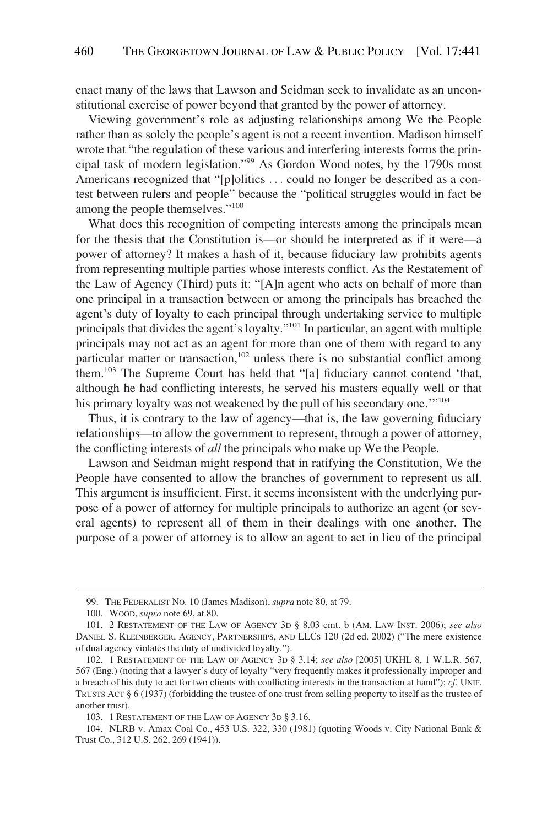enact many of the laws that Lawson and Seidman seek to invalidate as an unconstitutional exercise of power beyond that granted by the power of attorney.

Viewing government's role as adjusting relationships among We the People rather than as solely the people's agent is not a recent invention. Madison himself wrote that "the regulation of these various and interfering interests forms the principal task of modern legislation."99 As Gordon Wood notes, by the 1790s most Americans recognized that "[p]olitics . . . could no longer be described as a contest between rulers and people" because the "political struggles would in fact be among the people themselves."<sup>100</sup>

What does this recognition of competing interests among the principals mean for the thesis that the Constitution is—or should be interpreted as if it were—a power of attorney? It makes a hash of it, because fiduciary law prohibits agents from representing multiple parties whose interests conflict. As the Restatement of the Law of Agency (Third) puts it: "[A]n agent who acts on behalf of more than one principal in a transaction between or among the principals has breached the agent's duty of loyalty to each principal through undertaking service to multiple principals that divides the agent's loyalty."101 In particular, an agent with multiple principals may not act as an agent for more than one of them with regard to any particular matter or transaction,<sup>102</sup> unless there is no substantial conflict among them.103 The Supreme Court has held that "[a] fiduciary cannot contend 'that, although he had conflicting interests, he served his masters equally well or that his primary loyalty was not weakened by the pull of his secondary one."<sup>104</sup>

Thus, it is contrary to the law of agency—that is, the law governing fiduciary relationships—to allow the government to represent, through a power of attorney, the conflicting interests of *all* the principals who make up We the People.

Lawson and Seidman might respond that in ratifying the Constitution, We the People have consented to allow the branches of government to represent us all. This argument is insufficient. First, it seems inconsistent with the underlying purpose of a power of attorney for multiple principals to authorize an agent (or several agents) to represent all of them in their dealings with one another. The purpose of a power of attorney is to allow an agent to act in lieu of the principal

<sup>99.</sup> THE FEDERALIST NO. 10 (James Madison), *supra* note 80, at 79.

<sup>100.</sup> WOOD, *supra* note 69, at 80.

<sup>101. 2</sup> RESTATEMENT OF THE LAW OF AGENCY 3D § 8.03 cmt. b (AM. LAW INST. 2006); *see also*  DANIEL S. KLEINBERGER, AGENCY, PARTNERSHIPS, AND LLCS 120 (2d ed. 2002) ("The mere existence of dual agency violates the duty of undivided loyalty.").

<sup>102. 1</sup> RESTATEMENT OF THE LAW OF AGENCY 3D § 3.14; *see also* [2005] UKHL 8, 1 W.L.R. 567, 567 (Eng.) (noting that a lawyer's duty of loyalty "very frequently makes it professionally improper and a breach of his duty to act for two clients with conflicting interests in the transaction at hand"); *cf*. UNIF. TRUSTS ACT § 6 (1937) (forbidding the trustee of one trust from selling property to itself as the trustee of another trust).

<sup>103. 1</sup> RESTATEMENT OF THE LAW OF AGENCY 3D § 3.16.

<sup>104.</sup> NLRB v. Amax Coal Co., 453 U.S. 322, 330 (1981) (quoting Woods v. City National Bank & Trust Co., 312 U.S. 262, 269 (1941)).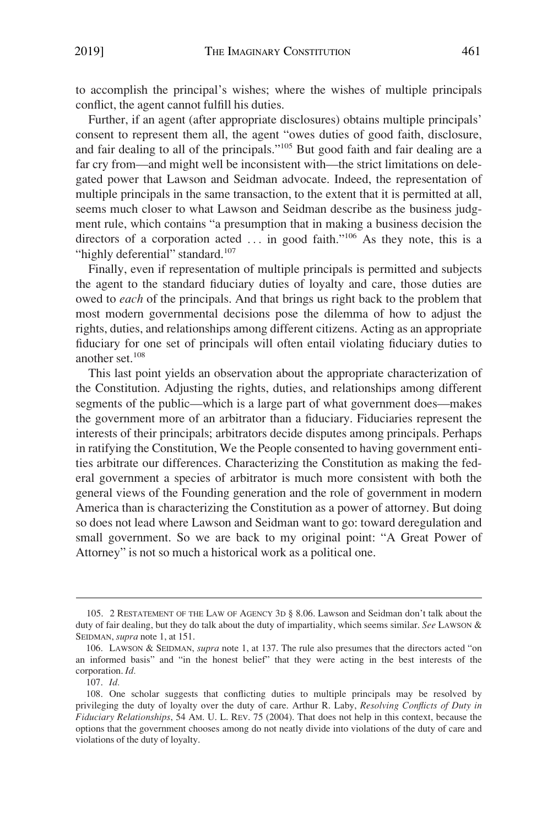to accomplish the principal's wishes; where the wishes of multiple principals conflict, the agent cannot fulfill his duties.

Further, if an agent (after appropriate disclosures) obtains multiple principals' consent to represent them all, the agent "owes duties of good faith, disclosure, and fair dealing to all of the principals."105 But good faith and fair dealing are a far cry from—and might well be inconsistent with—the strict limitations on delegated power that Lawson and Seidman advocate. Indeed, the representation of multiple principals in the same transaction, to the extent that it is permitted at all, seems much closer to what Lawson and Seidman describe as the business judgment rule, which contains "a presumption that in making a business decision the directors of a corporation acted  $\dots$  in good faith."<sup>106</sup> As they note, this is a "highly deferential" standard.<sup>107</sup>

Finally, even if representation of multiple principals is permitted and subjects the agent to the standard fiduciary duties of loyalty and care, those duties are owed to *each* of the principals. And that brings us right back to the problem that most modern governmental decisions pose the dilemma of how to adjust the rights, duties, and relationships among different citizens. Acting as an appropriate fiduciary for one set of principals will often entail violating fiduciary duties to another set.108

This last point yields an observation about the appropriate characterization of the Constitution. Adjusting the rights, duties, and relationships among different segments of the public—which is a large part of what government does—makes the government more of an arbitrator than a fiduciary. Fiduciaries represent the interests of their principals; arbitrators decide disputes among principals. Perhaps in ratifying the Constitution, We the People consented to having government entities arbitrate our differences. Characterizing the Constitution as making the federal government a species of arbitrator is much more consistent with both the general views of the Founding generation and the role of government in modern America than is characterizing the Constitution as a power of attorney. But doing so does not lead where Lawson and Seidman want to go: toward deregulation and small government. So we are back to my original point: "A Great Power of Attorney" is not so much a historical work as a political one.

<sup>105. 2</sup> RESTATEMENT OF THE LAW OF AGENCY 3D § 8.06. Lawson and Seidman don't talk about the duty of fair dealing, but they do talk about the duty of impartiality, which seems similar. *See* LAWSON & SEIDMAN, *supra* note 1, at 151.

<sup>106.</sup> LAWSON & SEIDMAN, *supra* note 1, at 137. The rule also presumes that the directors acted "on an informed basis" and "in the honest belief" that they were acting in the best interests of the corporation. *Id.* 

<sup>107.</sup> *Id.* 

<sup>108.</sup> One scholar suggests that conflicting duties to multiple principals may be resolved by privileging the duty of loyalty over the duty of care. Arthur R. Laby, *Resolving Conflicts of Duty in Fiduciary Relationships*, 54 AM. U. L. REV. 75 (2004). That does not help in this context, because the options that the government chooses among do not neatly divide into violations of the duty of care and violations of the duty of loyalty.